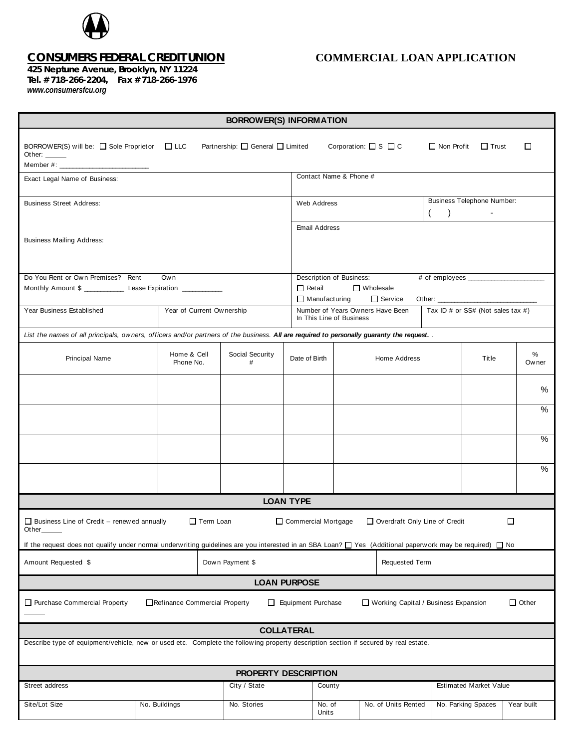

**425 Neptune Avenue, Brooklyn, NY 11224 Tel. # 718-266-2204, Fax # 718-266-1976** *www.consumersfcu.org*

## *CONSUMERS FEDERAL CREDIT UNION* **COMMERCIAL LOAN APPLICATION**

| <b>BORROWER(S) INFORMATION</b>                                                                                                                                                                                |                           |                                  |                          |                                                                                                                 |                                      |                    |                                                       |             |  |
|---------------------------------------------------------------------------------------------------------------------------------------------------------------------------------------------------------------|---------------------------|----------------------------------|--------------------------|-----------------------------------------------------------------------------------------------------------------|--------------------------------------|--------------------|-------------------------------------------------------|-------------|--|
| BORROWER(S) will be: $\Box$ Sole Proprietor $\Box$ LLC<br>Other: $\_\_$                                                                                                                                       |                           | Partnership: □ General □ Limited |                          |                                                                                                                 | Corporation: $\square$ S $\square$ C | $\Box$ Non Profit  | $\Box$ Trust                                          | □           |  |
| Exact Legal Name of Business:                                                                                                                                                                                 |                           |                                  |                          | Contact Name & Phone #                                                                                          |                                      |                    |                                                       |             |  |
| <b>Business Street Address:</b>                                                                                                                                                                               |                           |                                  |                          | Web Address                                                                                                     |                                      |                    | <b>Business Telephone Number:</b><br>$\left( \right)$ |             |  |
| <b>Business Mailing Address:</b>                                                                                                                                                                              |                           |                                  |                          | <b>Email Address</b>                                                                                            |                                      |                    |                                                       |             |  |
| Do You Rent or Own Premises? Rent<br>Own                                                                                                                                                                      |                           |                                  |                          | Description of Business:                                                                                        |                                      |                    |                                                       |             |  |
| Monthly Amount \$ _________________ Lease Expiration _____________                                                                                                                                            |                           |                                  |                          | $\Box$ Retail<br>□ Wholesale                                                                                    |                                      |                    |                                                       |             |  |
| Year Business Established                                                                                                                                                                                     |                           |                                  |                          | $\Box$ Service<br>$\Box$ Manufacturing<br>Number of Years Owners Have Been<br>Tax ID # or SS# (Not sales tax #) |                                      |                    |                                                       |             |  |
|                                                                                                                                                                                                               | Year of Current Ownership |                                  | In This Line of Business |                                                                                                                 |                                      |                    |                                                       |             |  |
| List the names of all principals, owners, officers and/or partners of the business. All are required to personally guaranty the request. .                                                                    |                           |                                  |                          |                                                                                                                 |                                      |                    |                                                       |             |  |
| Principal Name                                                                                                                                                                                                | Home & Cell<br>Phone No.  | Social Security<br>#             | Date of Birth            |                                                                                                                 | Home Address                         |                    | Title                                                 | %<br>Ow ner |  |
|                                                                                                                                                                                                               |                           |                                  |                          |                                                                                                                 |                                      |                    |                                                       | %           |  |
|                                                                                                                                                                                                               |                           |                                  |                          |                                                                                                                 |                                      |                    |                                                       | $\%$        |  |
|                                                                                                                                                                                                               |                           |                                  |                          |                                                                                                                 |                                      |                    |                                                       | $\%$        |  |
|                                                                                                                                                                                                               |                           |                                  |                          |                                                                                                                 |                                      |                    |                                                       | %           |  |
|                                                                                                                                                                                                               |                           |                                  | <b>LOAN TYPE</b>         |                                                                                                                 |                                      |                    |                                                       |             |  |
| $\Box$<br>$\Box$ Business Line of Credit – renewed annually<br>$\Box$ Term Loan<br>□ Commercial Mortgage<br>Overdraft Only Line of Credit<br>Other $\_\_$                                                     |                           |                                  |                          |                                                                                                                 |                                      |                    |                                                       |             |  |
| If the request does not qualify under normal underwriting guidelines are you interested in an SBA Loan? $\Box$ Yes (Additional paperwork may be required) $\Box$ No<br>Amount Requested \$<br>Down Payment \$ |                           |                                  |                          | Requested Term                                                                                                  |                                      |                    |                                                       |             |  |
| <b>LOAN PURPOSE</b>                                                                                                                                                                                           |                           |                                  |                          |                                                                                                                 |                                      |                    |                                                       |             |  |
| $\Box$ Other<br>Purchase Commercial Property<br>Refinance Commercial Property<br>Equipment Purchase<br>Working Capital / Business Expansion<br>П.                                                             |                           |                                  |                          |                                                                                                                 |                                      |                    |                                                       |             |  |
|                                                                                                                                                                                                               |                           |                                  | <b>COLLATERAL</b>        |                                                                                                                 |                                      |                    |                                                       |             |  |
| Describe type of equipment/vehicle, new or used etc. Complete the following property description section if secured by real estate.                                                                           |                           |                                  |                          |                                                                                                                 |                                      |                    |                                                       |             |  |
| PROPERTY DESCRIPTION                                                                                                                                                                                          |                           |                                  |                          |                                                                                                                 |                                      |                    |                                                       |             |  |
| Street address                                                                                                                                                                                                |                           | City / State                     | County                   |                                                                                                                 |                                      |                    | Estimated Market Value                                |             |  |
| Site/Lot Size                                                                                                                                                                                                 | No. Buildings             | No. Stories                      | No. of<br>Units          |                                                                                                                 | No. of Units Rented                  | No. Parking Spaces |                                                       | Year built  |  |